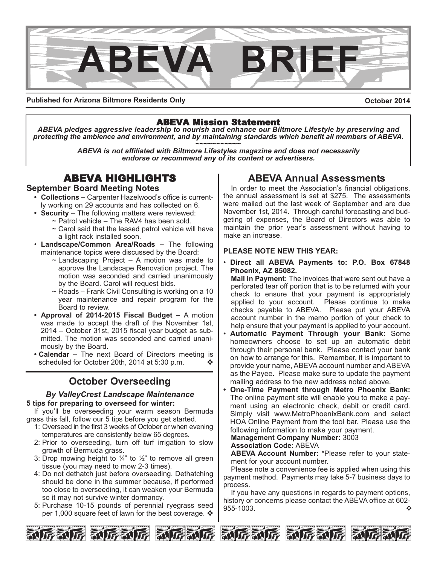

**Published for Arizona Biltmore Residents Only**

**October 2014**

ABEVA Mission Statement *ABEVA pledges aggressive leadership to nourish and enhance our Biltmore Lifestyle by preserving and protecting the ambience and environment, and by maintaining standards which benefit all members of ABEVA. ~~~~~~~~~~~*

*ABEVA is not affiliated with Biltmore Lifestyles magazine and does not necessarily endorse or recommend any of its content or advertisers.*

# **September Board Meeting Notes**

- **Collections –** Carpenter Hazelwood's office is currently working on 29 accounts and has collected on 6.
- **Security**  The following matters were reviewed:
	- $\sim$  Patrol vehicle The RAV4 has been sold.
		- ~ Carol said that the leased patrol vehicle will have a light rack installed soon.
- **Landscape/Common Area/Roads** The following maintenance topics were discussed by the Board:
	- $\sim$  Landscaping Project A motion was made to approve the Landscape Renovation project. The motion was seconded and carried unanimously by the Board. Carol will request bids.
	- $\sim$  Roads Frank Civil Consulting is working on a 10 year maintenance and repair program for the Board to review.
- **Approval of 2014-2015 Fiscal Budget** A motion was made to accept the draft of the November 1st, 2014 – October 31st, 2015 fiscal year budget as submitted. The motion was seconded and carried unanimously by the Board.
- **Calendar** The next Board of Directors meeting is scheduled for October 20th, 2014 at 5:30 p.m.

# **October Overseeding**

#### *By ValleyCrest Landscape Maintenance* **5 tips for preparing to overseed for winter:**

If you'll be overseeding your warm season Bermuda grass this fall, follow our 5 tips before you get started.

- 1: Overseed in the first 3 weeks of October or when evening temperatures are consistently below 65 degrees.
- 2: Prior to overseeding, turn off turf irrigation to slow growth of Bermuda grass.
- 3: Drop mowing height to  $\frac{1}{4}$ " to  $\frac{1}{2}$ " to remove all green tissue (you may need to mow 2-3 times).
- 4: Do not dethatch just before overseeding. Dethatching should be done in the summer because, if performed too close to overseeding, it can weaken your Bermuda so it may not survive winter dormancy.
- 5: Purchase 10-15 pounds of perennial ryegrass seed per 1,000 square feet of lawn for the best coverage.  $*$

# **ABEVA Annual Assessments**

In order to meet the Association's financial obligations, the annual assessment is set at \$275. The assessments were mailed out the last week of September and are due November 1st, 2014. Through careful forecasting and budgeting of expenses, the Board of Directors was able to maintain the prior year's assessment without having to make an increase.

## **PLEASE NOTE NEW THIS YEAR:**

• **Direct all ABEVA Payments to: P.O. Box 67848 Phoenix, AZ 85082.**

**Mail in Payment:** The invoices that were sent out have a perforated tear off portion that is to be returned with your check to ensure that your payment is appropriately applied to your account. Please continue to make checks payable to ABEVA. Please put your ABEVA account number in the memo portion of your check to help ensure that your payment is applied to your account.

- **Automatic Payment Through your Bank:** Some homeowners choose to set up an automatic debit through their personal bank. Please contact your bank on how to arrange for this. Remember, it is important to provide your name, ABEVA account number and ABEVA as the Payee. Please make sure to update the payment mailing address to the new address noted above.
- **One-Time Payment through Metro Phoenix Bank:** The online payment site will enable you to make a payment using an electronic check, debit or credit card. Simply visit www.MetroPhoenixBank.com and select HOA Online Payment from the tool bar. Please use the following information to make your payment.

**Management Company Number:** 3003

#### **Association Code:** ABEVA

**ABEVA Account Number:** \*Please refer to your statement for your account number.

Please note a convenience fee is applied when using this payment method. Payments may take 5-7 business days to process.

If you have any questions in regards to payment options, history or concerns please contact the ABEVA office at 602- 955-1003.  $\bullet$ 



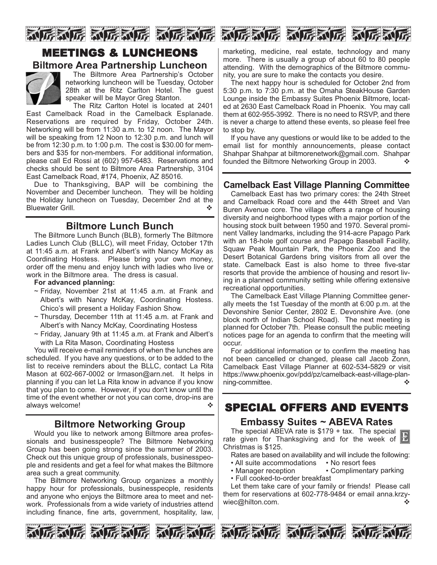

# **Biltmore Area Partnership Luncheon**



The Biltmore Area Partnership's October networking luncheon will be Tuesday, October 28th at the Ritz Carlton Hotel. The guest speaker will be Mayor Greg Stanton.

The Ritz Carlton Hotel is located at 2401 East Camelback Road in the Camelback Esplanade. Reservations are required by Friday, October 24th. Networking will be from 11:30 a.m. to 12 noon. The Mayor will be speaking from 12 Noon to 12:30 p.m. and lunch will be from 12:30 p.m. to 1:00 p.m. The cost is \$30.00 for members and \$35 for non-members. For additional information, please call Ed Rossi at (602) 957-6483. Reservations and checks should be sent to Biltmore Area Partnership, 3104 East Camelback Road, #174, Phoenix, AZ 85016.

Due to Thanksgiving, BAP will be combining the November and December luncheon. They will be holding the Holiday luncheon on Tuesday, December 2nd at the Bluewater Grill.

# **Biltmore Lunch Bunch**

The Biltmore Lunch Bunch (BLB), formerly The Biltmore Ladies Lunch Club (BLLC), will meet Friday, October 17th at 11:45 a.m. at Frank and Albert's with Nancy McKay as Coordinating Hostess. Please bring your own money, order off the menu and enjoy lunch with ladies who live or work in the Biltmore area. The dress is casual.

#### **For advanced planning:**

- $\sim$  Friday, November 21st at 11:45 a.m. at Frank and Albert's with Nancy McKay, Coordinating Hostess. Chico's will present a Holiday Fashion Show.
- ~ Thursday, December 11th at 11:45 a.m. at Frank and Albert's with Nancy McKay, Coordinating Hostess
- ~ Friday, January 9th at 11:45 a.m. at Frank and Albert's with La Rita Mason, Coordinating Hostess

You will receive e-mail reminders of when the lunches are scheduled. If you have any questions, or to be added to the list to receive reminders about the BLLC, contact La Rita Mason at 602-667-0002 or Irmason@arn.net. It helps in planning if you can let La Rita know in advance if you know that you plan to come. However, if you don't know until the time of the event whether or not you can come, drop-ins are always welcome!  $\triangle$ 

# **Biltmore Networking Group**

Would you like to network among Biltmore area professionals and businesspeople? The Biltmore Networking Group has been going strong since the summer of 2003. Check out this unique group of professionals, businesspeople and residents and get a feel for what makes the Biltmore area such a great community.

The Biltmore Networking Group organizes a monthly happy hour for professionals, businesspeople, residents and anyone who enjoys the Biltmore area to meet and network. Professionals from a wide variety of industries attend including finance, fine arts, government, hospitality, law,

和玩家玩 动玩家玩 动玩

marketing, medicine, real estate, technology and many more. There is usually a group of about 60 to 80 people attending. With the demographics of the Biltmore community, you are sure to make the contacts you desire.

The next happy hour is scheduled for October 2nd from 5:30 p.m. to 7:30 p.m. at the Omaha SteakHouse Garden Lounge inside the Embassy Suites Phoenix Biltmore, located at 2630 East Camelback Road in Phoenix. You may call them at 602-955-3992. There is no need to RSVP, and there is never a charge to attend these events, so please feel free to stop by.

If you have any questions or would like to be added to the email list for monthly announcements, please contact Shahpar Shahpar at biltmorenetwork@gmail.com. Shahpar founded the Biltmore Networking Group in 2003.  $\bullet\bullet$ 

# **Camelback East Village Planning Committee**

Camelback East has two primary cores: the 24th Street and Camelback Road core and the 44th Street and Van Buren Avenue core. The village offers a range of housing diversity and neighborhood types with a major portion of the housing stock built between 1950 and 1970. Several prominent Valley landmarks, including the 914-acre Papago Park with an 18-hole golf course and Papago Baseball Facility, Squaw Peak Mountain Park, the Phoenix Zoo and the Desert Botanical Gardens bring visitors from all over the state. Camelback East is also home to three five-star resorts that provide the ambience of housing and resort living in a planned community setting while offering extensive recreational opportunities.

The Camelback East Village Planning Committee generally meets the 1st Tuesday of the month at 6:00 p.m. at the Devonshire Senior Center, 2802 E. Devonshire Ave. (one block north of Indian School Road). The next meeting is planned for October 7th. Please consult the public meeting notices page for an agenda to confirm that the meeting will occur.

For additional information or to confirm the meeting has not been cancelled or changed, please call Jacob Zonn, Camelback East Village Planner at 602-534-5829 or visit https://www.phoenix.gov/pdd/pz/camelback-east-village-planning-committee. ◆ vertical set of the set of the set of the set of the set of the set of the set of the set of the set of the set of the set of the set of the set of the set of the set of the set of the set of the set of

# SPECIAL OFFERS AND EVENTS

# **Embassy Suites ~ ABEVA Rates**

The special ABEVA rate is  $$179 + tax$ . The special rate given for Thanksgiving and for the week of Christmas is \$125.

Rates are based on availability and will include the following:

- All suite accommodations No resort fees
- Manager reception Complimentary parking
- Full cooked-to-order breakfast

Let them take care of your family or friends! Please call them for reservations at 602-778-9484 or email anna.krzywiec@hilton.com. ◆







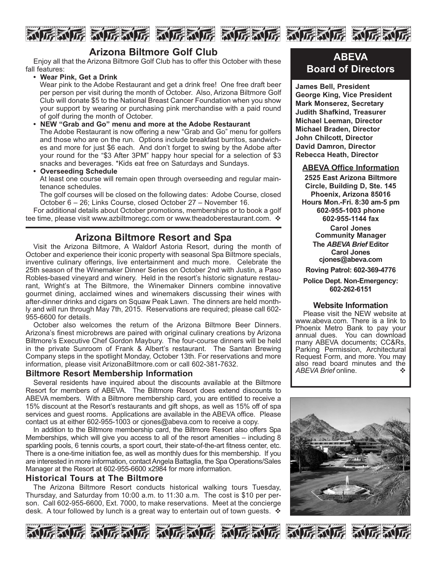



# **Arizona Biltmore Golf Club**

Enjoy all that the Arizona Biltmore Golf Club has to offer this October with these fall features:

**• Wear Pink, Get a Drink**

Wear pink to the Adobe Restaurant and get a drink free! One free draft beer per person per visit during the month of October. Also, Arizona Biltmore Golf Club will donate \$5 to the National Breast Cancer Foundation when you show your support by wearing or purchasing pink merchandise with a paid round of golf during the month of October.

**• NEW "Grab and Go" menu and more at the Adobe Restaurant** The Adobe Restaurant is now offering a new "Grab and Go" menu for golfers and those who are on the run. Options include breakfast burritos, sandwiches and more for just \$6 each. And don't forget to swing by the Adobe after your round for the "\$3 After 3PM" happy hour special for a selection of \$3 snacks and beverages. \*Kids eat free on Saturdays and Sundays.

#### **• Overseeding Schedule**

At least one course will remain open through overseeding and regular maintenance schedules.

The golf courses will be closed on the following dates: Adobe Course, closed October 6 – 26; Links Course, closed October 27 – November 16.

For additional details about October promotions, memberships or to book a golf tee time, please visit www.azbiltmoregc.com or www.theadoberestaurant.com.  $\cdot$ 

# **Arizona Biltmore Resort and Spa**

Visit the Arizona Biltmore, A Waldorf Astoria Resort, during the month of October and experience their iconic property with seasonal Spa Biltmore specials, inventive culinary offerings, live entertainment and much more. Celebrate the 25th season of the Winemaker Dinner Series on October 2nd with Justin, a Paso Robles-based vineyard and winery. Held in the resort's historic signature restaurant, Wright's at The Biltmore, the Winemaker Dinners combine innovative gourmet dining, acclaimed wines and winemakers discussing their wines with after-dinner drinks and cigars on Squaw Peak Lawn. The dinners are held monthly and will run through May 7th, 2015. Reservations are required; please call 602- 955-6600 for details.

October also welcomes the return of the Arizona Biltmore Beer Dinners. Arizona's finest microbrews are paired with original culinary creations by Arizona Biltmore's Executive Chef Gordon Maybury. The four-course dinners will be held in the private Sunroom of Frank & Albert's restaurant. The Santan Brewing Company steps in the spotlight Monday, October 13th. For reservations and more information, please visit ArizonaBiltmore.com or call 602-381-7632.

#### **Biltmore Resort Membership Information**

Several residents have inquired about the discounts available at the Biltmore Resort for members of ABEVA. The Biltmore Resort does extend discounts to ABEVA members. With a Biltmore membership card, you are entitled to receive a 15% discount at the Resort's restaurants and gift shops, as well as 15% off of spa services and guest rooms. Applications are available in the ABEVA office. Please contact us at either 602-955-1003 or cjones@abeva.com to receive a copy.

In addition to the Biltmore membership card, the Biltmore Resort also offers Spa Memberships, which will give you access to all of the resort amenities – including 8 sparkling pools, 6 tennis courts, a sport court, their state-of-the-art fitness center, etc. There is a one-time initiation fee, as well as monthly dues for this membership. If you are interested in more information, contact Angela Battaglia, the Spa Operations/Sales Manager at the Resort at 602-955-6600 x2984 for more information.

#### **Historical Tours at The Biltmore**

The Arizona Biltmore Resort conducts historical walking tours Tuesday, Thursday, and Saturday from 10:00 a.m. to 11:30 a.m. The cost is \$10 per person. Call 602-955-6600, Ext. 7000, to make reservations. Meet at the concierge desk. A tour followed by lunch is a great way to entertain out of town guests.  $\mathbf{\hat{v}}$ 

# **ABEVA Board of Directors**

**James Bell, President George King, Vice President Mark Monserez, Secretary Judith Shafkind, Treasurer Michael Leeman, Director Michael Braden, Director John Chilcott, Director David Damron, Director Rebecca Heath, Director**

#### **ABEVA Office Information**

**2525 East Arizona Biltmore Circle, Building D, Ste. 145 Phoenix, Arizona 85016 Hours Mon.-Fri. 8:30 am-5 pm 602-955-1003 phone 602-955-1144 fax Carol Jones Community Manager The** *ABEVA Brief* **Editor Carol Jones cjones@abeva.com Roving Patrol: 602-369-4776**

### **Police Dept. Non-Emergency: 602-262-6151**

#### **Website Information**

Please visit the NEW website at www.abeva.com. There is a link to Phoenix Metro Bank to pay your annual dues. You can download many ABEVA documents; CC&Rs, Parking Permission, Architectural Request Form, and more. You may also read board minutes and the *ABEVA Brief* online. ◆